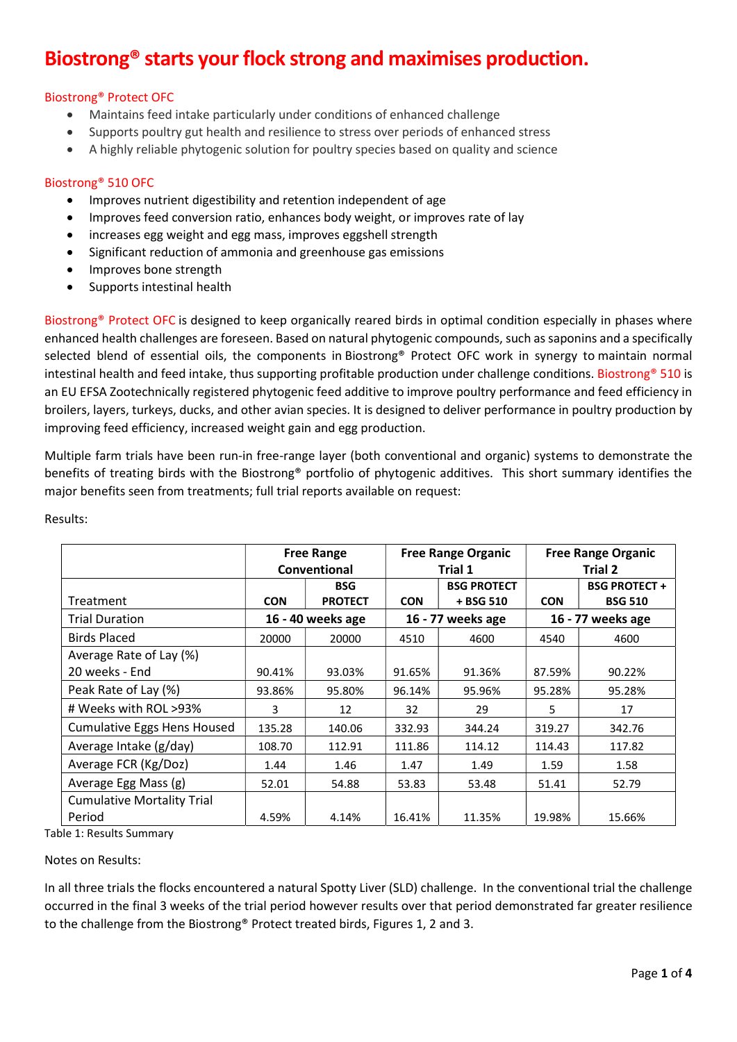## Biostrong® starts your flock strong and maximises production.

## Biostrong® Protect OFC

- Maintains feed intake particularly under conditions of enhanced challenge
- Supports poultry gut health and resilience to stress over periods of enhanced stress
- A highly reliable phytogenic solution for poultry species based on quality and science

## Biostrong® 510 OFC

- Improves nutrient digestibility and retention independent of age
- Improves feed conversion ratio, enhances body weight, or improves rate of lay
- increases egg weight and egg mass, improves eggshell strength
- Significant reduction of ammonia and greenhouse gas emissions
- Improves bone strength
- Supports intestinal health

Biostrong® Protect OFC is designed to keep organically reared birds in optimal condition especially in phases where enhanced health challenges are foreseen. Based on natural phytogenic compounds, such as saponins and a specifically selected blend of essential oils, the components in Biostrong® Protect OFC work in synergy to maintain normal intestinal health and feed intake, thus supporting profitable production under challenge conditions. Biostrong® 510 is an EU EFSA Zootechnically registered phytogenic feed additive to improve poultry performance and feed efficiency in broilers, layers, turkeys, ducks, and other avian species. It is designed to deliver performance in poultry production by improving feed efficiency, increased weight gain and egg production.

Multiple farm trials have been run-in free-range layer (both conventional and organic) systems to demonstrate the benefits of treating birds with the Biostrong® portfolio of phytogenic additives. This short summary identifies the major benefits seen from treatments; full trial reports available on request:

|                                    |            | <b>Free Range Organic</b><br><b>Free Range</b><br>Conventional<br>Trial 1 |            | <b>Free Range Organic</b><br>Trial 2 |            |                                       |
|------------------------------------|------------|---------------------------------------------------------------------------|------------|--------------------------------------|------------|---------------------------------------|
| Treatment                          | <b>CON</b> | <b>BSG</b><br><b>PROTECT</b>                                              | <b>CON</b> | <b>BSG PROTECT</b><br>+ BSG 510      | <b>CON</b> | <b>BSG PROTECT+</b><br><b>BSG 510</b> |
| <b>Trial Duration</b>              |            | 16 - 40 weeks age                                                         |            | 16 - 77 weeks age                    |            | 16 - 77 weeks age                     |
| <b>Birds Placed</b>                | 20000      | 20000                                                                     | 4510       | 4600                                 | 4540       | 4600                                  |
| Average Rate of Lay (%)            |            |                                                                           |            |                                      |            |                                       |
| 20 weeks - End                     | 90.41%     | 93.03%                                                                    | 91.65%     | 91.36%                               | 87.59%     | 90.22%                                |
| Peak Rate of Lay (%)               | 93.86%     | 95.80%                                                                    | 96.14%     | 95.96%                               | 95.28%     | 95.28%                                |
| # Weeks with ROL >93%              | 3          | 12                                                                        | 32         | 29                                   | 5          | 17                                    |
| <b>Cumulative Eggs Hens Housed</b> | 135.28     | 140.06                                                                    | 332.93     | 344.24                               | 319.27     | 342.76                                |
| Average Intake (g/day)             | 108.70     | 112.91                                                                    | 111.86     | 114.12                               | 114.43     | 117.82                                |
| Average FCR (Kg/Doz)               | 1.44       | 1.46                                                                      | 1.47       | 1.49                                 | 1.59       | 1.58                                  |
| Average Egg Mass (g)               | 52.01      | 54.88                                                                     | 53.83      | 53.48                                | 51.41      | 52.79                                 |
| <b>Cumulative Mortality Trial</b>  |            |                                                                           |            |                                      |            |                                       |
| Period                             | 4.59%      | 4.14%                                                                     | 16.41%     | 11.35%                               | 19.98%     | 15.66%                                |

Results:

Table 1: Results Summary

Notes on Results:

In all three trials the flocks encountered a natural Spotty Liver (SLD) challenge. In the conventional trial the challenge occurred in the final 3 weeks of the trial period however results over that period demonstrated far greater resilience to the challenge from the Biostrong® Protect treated birds, Figures 1, 2 and 3.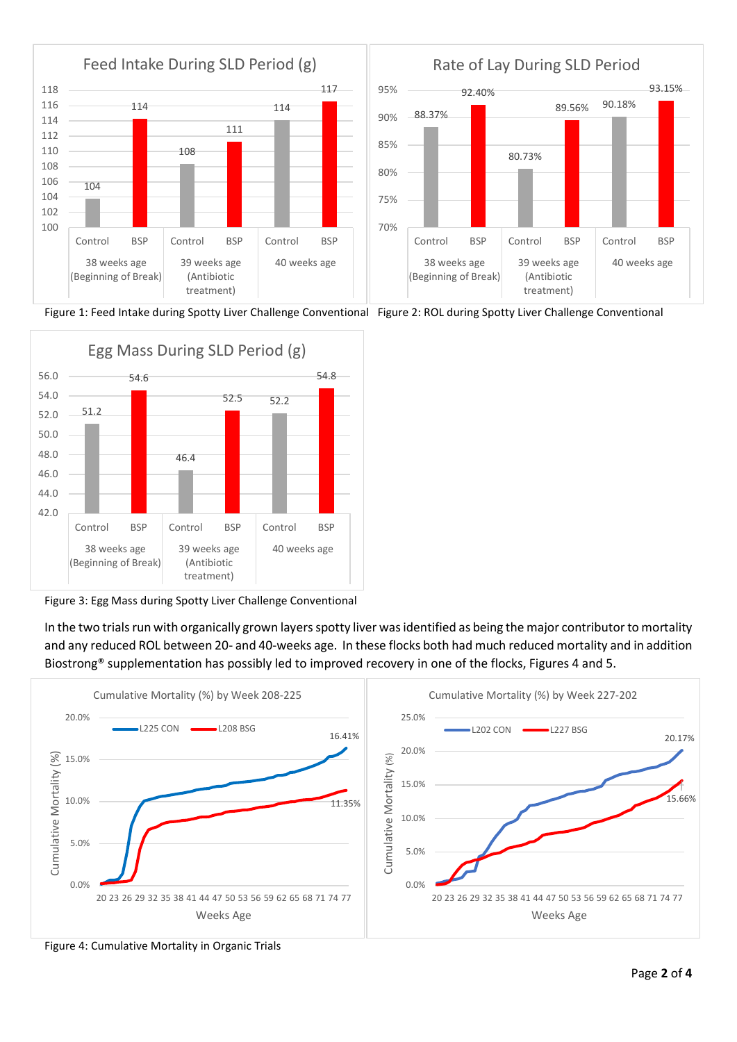

Figure 1: Feed Intake during Spotty Liver Challenge Conventional Figure 2: ROL during Spotty Liver Challenge Conventional



Figure 3: Egg Mass during Spotty Liver Challenge Conventional

In the two trials run with organically grown layers spotty liver was identified as being the major contributor to mortality and any reduced ROL between 20- and 40-weeks age. In these flocks both had much reduced mortality and in addition Biostrong® supplementation has possibly led to improved recovery in one of the flocks, Figures 4 and 5.



Figure 4: Cumulative Mortality in Organic Trials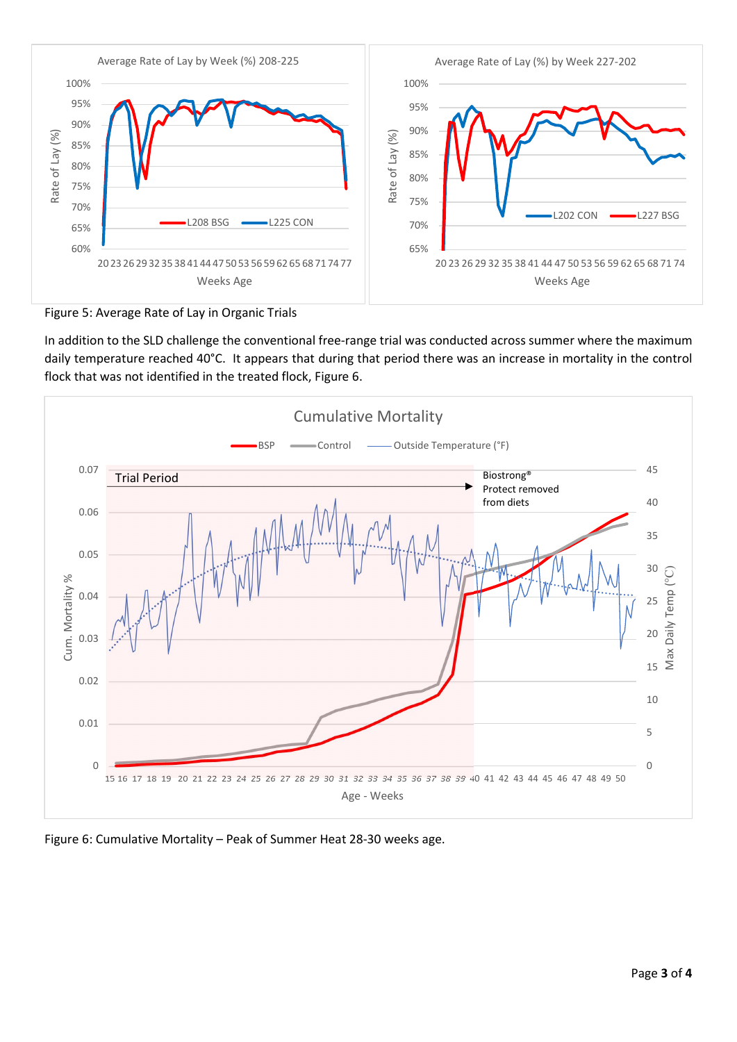

Figure 5: Average Rate of Lay in Organic Trials

In addition to the SLD challenge the conventional free-range trial was conducted across summer where the maximum daily temperature reached 40°C. It appears that during that period there was an increase in mortality in the control flock that was not identified in the treated flock, Figure 6.



Figure 6: Cumulative Mortality – Peak of Summer Heat 28-30 weeks age.